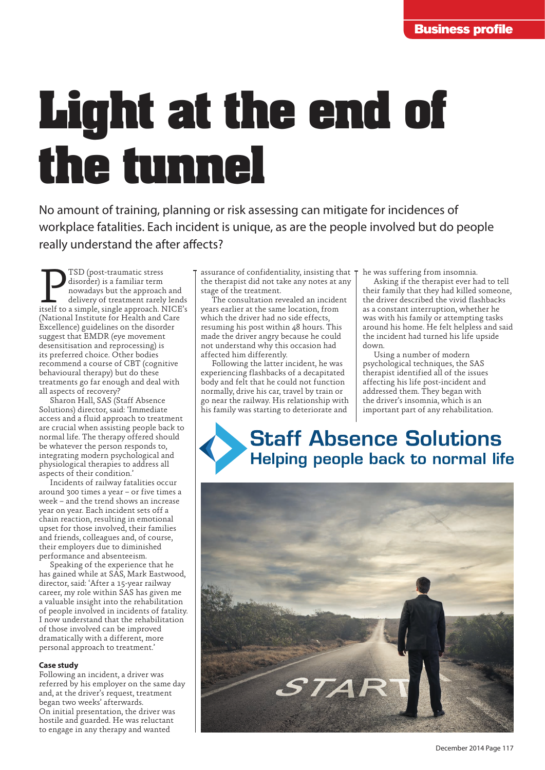# **Light at the end of the tunnel**

No amount of training, planning or risk assessing can mitigate for incidences of workplace fatalities. Each incident is unique, as are the people involved but do people really understand the after affects?

**PHSP** (post-traumatic stress<br>disorder) is a familiar term<br>nowadays but the approach and<br>delivery of treatment rarely lends<br>itself to a simple, single approach. NICE's disorder) is a familiar term nowadays but the approach and delivery of treatment rarely lends (National Institute for Health and Care Excellence) guidelines on the disorder suggest that EMDR (eye movement desensitisation and reprocessing) is its preferred choice. Other bodies recommend a course of CBT (cognitive behavioural therapy) but do these treatments go far enough and deal with all aspects of recovery?

Sharon Hall, SAS (Staff Absence Solutions) director, said: 'Immediate access and a fluid approach to treatment are crucial when assisting people back to normal life. The therapy offered should be whatever the person responds to, integrating modern psychological and physiological therapies to address all aspects of their condition.'

Incidents of railway fatalities occur around 300 times a year – or five times a week – and the trend shows an increase year on year. Each incident sets off a chain reaction, resulting in emotional upset for those involved, their families and friends, colleagues and, of course, their employers due to diminished performance and absenteeism.

Speaking of the experience that he has gained while at SAS, Mark Eastwood, director, said: 'After a 15-year railway career, my role within SAS has given me a valuable insight into the rehabilitation of people involved in incidents of fatality. I now understand that the rehabilitation of those involved can be improved dramatically with a different, more personal approach to treatment.'

### **Case study**

Following an incident, a driver was referred by his employer on the same day and, at the driver's request, treatment began two weeks' afterwards. On initial presentation, the driver was hostile and guarded. He was reluctant to engage in any therapy and wanted

assurance of confidentiality, insisting that the therapist did not take any notes at any stage of the treatment.

The consultation revealed an incident years earlier at the same location, from which the driver had no side effects, resuming his post within 48 hours. This made the driver angry because he could not understand why this occasion had affected him differently.

Following the latter incident, he was experiencing flashbacks of a decapitated body and felt that he could not function normally, drive his car, travel by train or go near the railway. His relationship with his family was starting to deteriorate and

he was suffering from insomnia.

Asking if the therapist ever had to tell their family that they had killed someone, the driver described the vivid flashbacks as a constant interruption, whether he was with his family or attempting tasks around his home. He felt helpless and said the incident had turned his life upside down.

Using a number of modern psychological techniques, the SAS therapist identified all of the issues affecting his life post-incident and addressed them. They began with the driver's insomnia, which is an important part of any rehabilitation.

# **Staff Absence Solutions** Helping people back to normal life